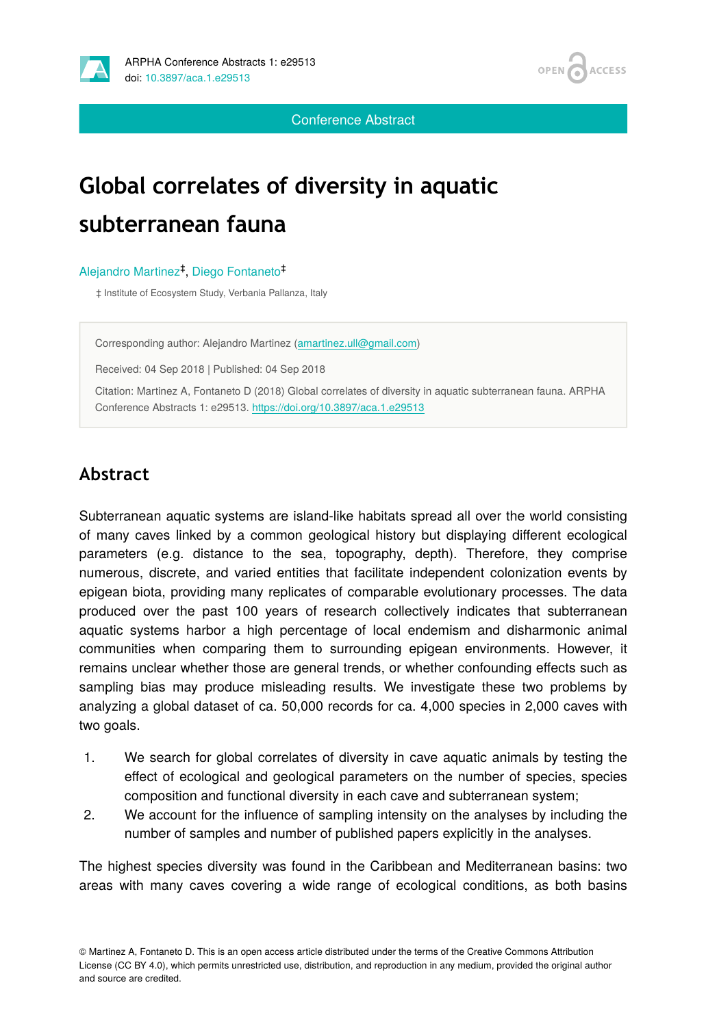

**OPEN ACCESS** 

Conference Abstract

# **Global correlates of diversity in aquatic subterranean fauna**

#### Alejandro Martinez<sup>‡</sup>, Diego Fontaneto<sup>‡</sup>

‡ Institute of Ecosystem Study, Verbania Pallanza, Italy

Corresponding author: Alejandro Martinez [\(amartinez.ull@gmail.com\)](mailto:amartinez.ull@gmail.com)

Received: 04 Sep 2018 | Published: 04 Sep 2018

Citation: Martinez A, Fontaneto D (2018) Global correlates of diversity in aquatic subterranean fauna. ARPHA Conference Abstracts 1: e29513. <https://doi.org/10.3897/aca.1.e29513>

# **Abstract**

Subterranean aquatic systems are island-like habitats spread all over the world consisting of many caves linked by a common geological history but displaying different ecological parameters (e.g. distance to the sea, topography, depth). Therefore, they comprise numerous, discrete, and varied entities that facilitate independent colonization events by epigean biota, providing many replicates of comparable evolutionary processes. The data produced over the past 100 years of research collectively indicates that subterranean aquatic systems harbor a high percentage of local endemism and disharmonic animal communities when comparing them to surrounding epigean environments. However, it remains unclear whether those are general trends, or whether confounding effects such as sampling bias may produce misleading results. We investigate these two problems by analyzing a global dataset of ca. 50,000 records for ca. 4,000 species in 2,000 caves with two goals.

- 1. We search for global correlates of diversity in cave aquatic animals by testing the effect of ecological and geological parameters on the number of species, species composition and functional diversity in each cave and subterranean system;
- 2. We account for the influence of sampling intensity on the analyses by including the number of samples and number of published papers explicitly in the analyses.

The highest species diversity was found in the Caribbean and Mediterranean basins: two areas with many caves covering a wide range of ecological conditions, as both basins